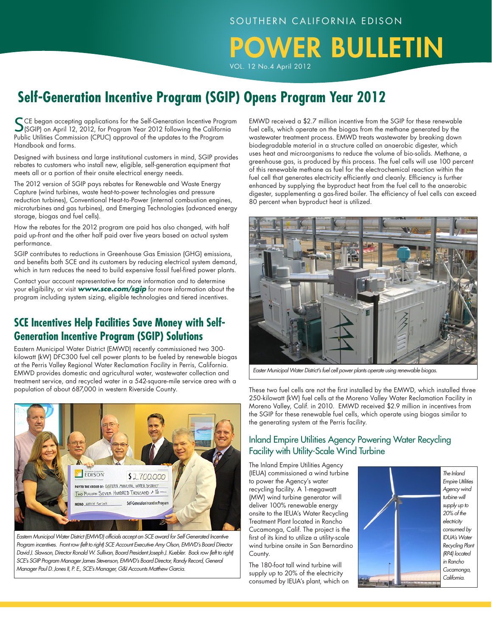# **DWER BULLETIN**

VOL. 12 No.4 April 2012

## **Self-Generation Incentive Program (SGIP) Opens Program Year 2012**

SCE began accepting applications for the Self-Generation Incentive Program (SGIP) on April 12, 2012, for Program Year 2012 following the California Public Utilities Commission (CPUC) approval of the updates to the Program Handbook and forms.

Designed with business and large institutional customers in mind, SGIP provides rebates to customers who install new, eligible, self-generation equipment that meets all or a portion of their onsite electrical energy needs.

The 2012 version of SGIP pays rebates for Renewable and Waste Energy Capture (wind turbines, waste heat-to-power technologies and pressure reduction turbines), Conventional Heat-to-Power (internal combustion engines, microturbines and gas turbines), and Emerging Technologies (advanced energy storage, biogas and fuel cells).

How the rebates for the 2012 program are paid has also changed, with half paid up-front and the other half paid over five years based on actual system performance.

SGIP contributes to reductions in Greenhouse Gas Emission (GHG) emissions, and benefits both SCE and its customers by reducing electrical system demand, which in turn reduces the need to build expensive fossil fuel-fired power plants.

Contact your account representative for more information and to determine your eligibility, or visit *www.sce.com/sgip* for more information about the program including system sizing, eligible technologies and tiered incentives.

### **SCE Incentives Help Facilities Save Money with Self-Generation Incentive Program (SGIP) Solutions**

Eastern Municipal Water District (EMWD) recently commissioned two 300 kilowatt (kW) DFC300 fuel cell power plants to be fueled by renewable biogas at the Perris Valley Regional Water Reclamation Facility in Perris, California. EMWD provides domestic and agricultural water, wastewater collection and treatment service, and recycled water in a 542-square-mile service area with a population of about 687,000 in western Riverside County.



*Eastern Municipal Water District (EMWD) officials accept an SCE award for Self Generated Incentive Program incentives. Front row (left to right) SCE Account Executive Amy Olson, EMWD's Board Director David J. Slawson, Director Ronald W. Sullivan, Board President Joseph J. Kuebler. Back row (left to right) SCE's SGIP Program Manager James Stevenson, EMWD's Board Director, Randy Record, General Manager Paul D. Jones II, P. E., SCE's Manager, G&I Accounts Matthew Garcia.*

EMWD received a \$2.7 million incentive from the SGIP for these renewable fuel cells, which operate on the biogas from the methane generated by the wastewater treatment process. EMWD treats wastewater by breaking down biodegradable material in a structure called an anaerobic digester, which uses heat and microorganisms to reduce the volume of bio-solids. Methane, a greenhouse gas, is produced by this process. The fuel cells will use 100 percent of this renewable methane as fuel for the electrochemical reaction within the fuel cell that generates electricity efficiently and cleanly. Efficiency is further enhanced by supplying the byproduct heat from the fuel cell to the anaerobic digester, supplementing a gas-fired boiler. The efficiency of fuel cells can exceed 80 percent when byproduct heat is utilized.



 *Easter Municipal Water District's fuel cell power plants operate using renewable biogas.*

These two fuel cells are not the first installed by the EMWD, which installed three 250-kilowatt (kW) fuel cells at the Moreno Valley Water Reclamation Facility in Moreno Valley, Calif. in 2010. EMWD received \$2.9 million in incentives from the SGIP for these renewable fuel cells, which operate using biogas similar to the generating system at the Perris facility.

### Inland Empire Utilities Agency Powering Water Recycling Facility with Utility-Scale Wind Turbine

The Inland Empire Utilities Agency (IEUA) commissioned a wind turbine to power the Agency's water recycling facility. A 1-megawatt (MW) wind turbine generator will deliver 100% renewable energy onsite to the IEUA's Water Recycling Treatment Plant located in Rancho Cucamonga, Calif. The project is the first of its kind to utilize a utility-scale wind turbine onsite in San Bernardino County.

The 180-foot tall wind turbine will supply up to 20% of the electricity consumed by IEUA's plant, which on

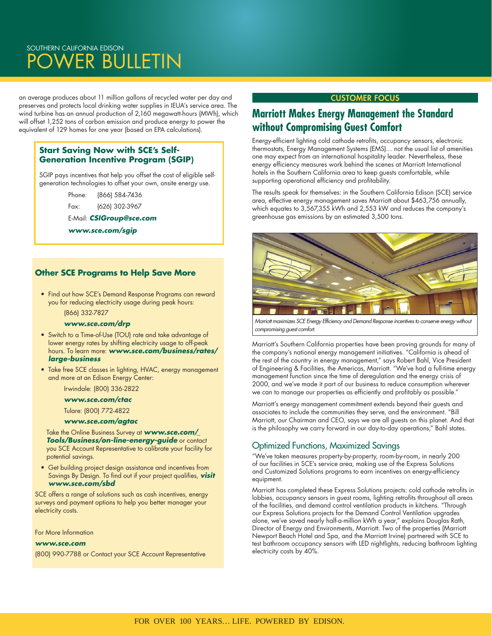### SOUTHERN CALIFORNIA EDISON OWER BULLETIN

an average produces about 11 million gallons of recycled water per day and preserves and protects local drinking water supplies in IEUA's service area. The wind turbine has an annual production of 2,160 megawatt-hours (MWh), which will offset 1,252 tons of carbon emission and produce energy to power the equivalent of 129 homes for one year (based on EPA calculations).

### **Start Saving Now with SCE's Self-Generation Incentive Program (SGIP)**

SGIP pays incentives that help you offset the cost of eligible selfgeneration technologies to offset your own, onsite energy use.

Phone: (866) 584-7436

Fax: (626) 302-3967

E-Mail: *CSIGroup@sce.com*

*www.sce.com/sgip*

### **Other SCE Programs to Help Save More**

 • Find out how SCE's Demand Response Programs can reward you for reducing electricity usage during peak hours:

(866) 332-7827

#### *www.sce.com/drp*

- Switch to a Time-of-Use (TOU) rate and take advantage of lower energy rates by shifting electricity usage to off-peak hours. To learn more: *www.sce.com/business/rates/ large-business*
- Take free SCE classes in lighting, HVAC, energy management and more at an Edison Energy Center:

Irwindale: (800) 336-2822

#### *www.sce.com/ctac*

Tulare: (800) 772-4822

#### *www.sce.com/agtac*

 Take the Online Business Survey at *www.sce.com/\_ Tools/Business/on-line-energy-guide* or contact you SCE Account Representative to calibrate your facility for potential savings.

 • Get building project design assistance and incentives from Savings By Design. To find out if your project qualifies, *visit www.sce.com/sbd*

SCE offers a range of solutions such as cash incentives, energy surveys and payment options to help you better manager your electricity costs.

For More Information

#### *www.sce.com*

(800) 990-7788 or Contact your SCE Account Representative

### CUSTOMER Focus

### **Marriott Makes Energy Management the Standard without Compromising Guest Comfort**

Energy-efficient lighting cold cathode retrofits, occupancy sensors, electronic thermostats, Energy Management Systems (EMS)… not the usual list of amenities one may expect from an international hospitality leader. Nevertheless, these energy efficiency measures work behind the scenes at Marriott International hotels in the Southern California area to keep guests comfortable, while supporting operational efficiency and profitability.

The results speak for themselves: in the Southern California Edison (SCE) service area, effective energy management saves Marriott about \$463,756 annually, which equates to 3,567,355 kWh and 2,553 kW and reduces the company's greenhouse gas emissions by an estimated 3,500 tons.



*Marriott maximizes SCE Energy Efficiency and Demand Response incentives to conserve energy without compromising guest comfort.*

Marriott's Southern California properties have been proving grounds for many of the company's national energy management initiatives. "California is ahead of the rest of the country in energy management," says Robert Bahl, Vice President of Engineering & Facilities, the Americas, Marriott. "We've had a full-time energy management function since the time of deregulation and the energy crisis of 2000, and we've made it part of our business to reduce consumption wherever we can to manage our properties as efficiently and profitably as possible."

Marriott's energy management commitment extends beyond their guests and associates to include the communities they serve, and the environment. "Bill Marriott, our Chairman and CEO, says we are all guests on this planet. And that is the philosophy we carry forward in our day-to-day operations," Bahl states.

### Optimized Functions, Maximized Savings

"We've taken measures property-by-property, room-by-room, in nearly 200 of our facilities in SCE's service area, making use of the Express Solutions and Customized Solutions programs to earn incentives on energy-efficiency equipment.

Marriott has completed these Express Solutions projects: cold cathode retrofits in lobbies, occupancy sensors in guest rooms, lighting retrofits throughout all areas of the facilities, and demand control ventilation products in kitchens. "Through our Express Solutions projects for the Demand Control Ventilation upgrades alone, we've saved nearly half-a-million kWh a year," explains Douglas Rath, Director of Energy and Environments, Marriott. Two of the properties (Marriott Newport Beach Hotel and Spa, and the Marriott Irvine) partnered with SCE to test bathroom occupancy sensors with LED nightlights, reducing bathroom lighting electricity costs by 40%.